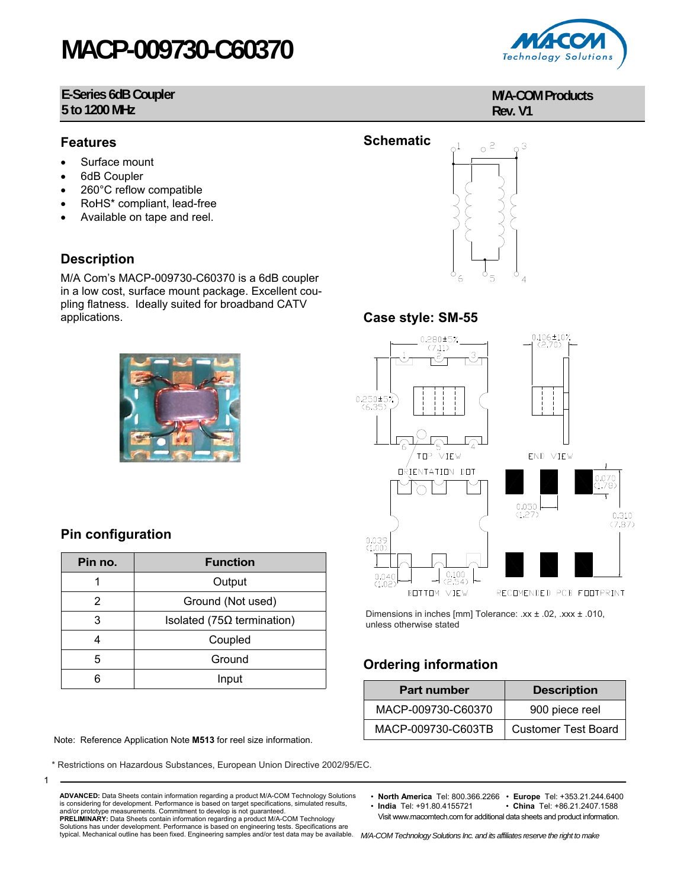# **MACP-009730-C60370**

#### **E-Series 6dB Coupler 5 to 1200 MHz**

#### **Features**

- Surface mount
- 6dB Coupler
- 260°C reflow compatible
- RoHS\* compliant, lead-free
- Available on tape and reel.

#### **Description**

M/A Com's MACP-009730-C60370 is a 6dB coupler in a low cost, surface mount package. Excellent coupling flatness. Ideally suited for broadband CATV applications.



### **Pin configuration**

1

| Pin no. | <b>Function</b>                    |  |  |
|---------|------------------------------------|--|--|
|         | Output                             |  |  |
| 2       | Ground (Not used)                  |  |  |
| 3       | Isolated (75 $\Omega$ termination) |  |  |
|         | Coupled                            |  |  |
| 5       | Ground                             |  |  |
| հ       | Input                              |  |  |

Note: Reference Application Note **M513** for reel size information.

\* Restrictions on Hazardous Substances, European Union Directive 2002/95/EC.



#### **M/A-COM Products Rev. V1**



#### **Case style: SM-55**



Dimensions in inches [mm] Tolerance: .xx ± .02, .xxx ± .010, unless otherwise stated

## **Ordering information**

| <b>Part number</b> | <b>Description</b>         |  |  |
|--------------------|----------------------------|--|--|
| MACP-009730-C60370 | 900 piece reel             |  |  |
| MACP-009730-C603TB | <b>Customer Test Board</b> |  |  |

• **North America** Tel: 800.366.2266 • **Europe** Tel: +353.21.244.6400

 $\cdot$  **China** Tel: +86.21.2407.1588 Visit www.macomtech.com for additional data sheets and product information.

is considering for development. Performance is based on target specifications, simulated results, and/or prototype measurements. Commitment to develop is not guaranteed. **PRELIMINARY:** Data Sheets contain information regarding a product M/A-COM Technology Solutions has under development. Performance is based on engineering tests. Specifications are

**ADVANCED:** Data Sheets contain information regarding a product M/A-COM Technology Solutions

typical. Mechanical outline has been fixed. Engineering samples and/or test data may be available. M/A-COM Technology Solutions Inc. and its affiliates reserve the right to make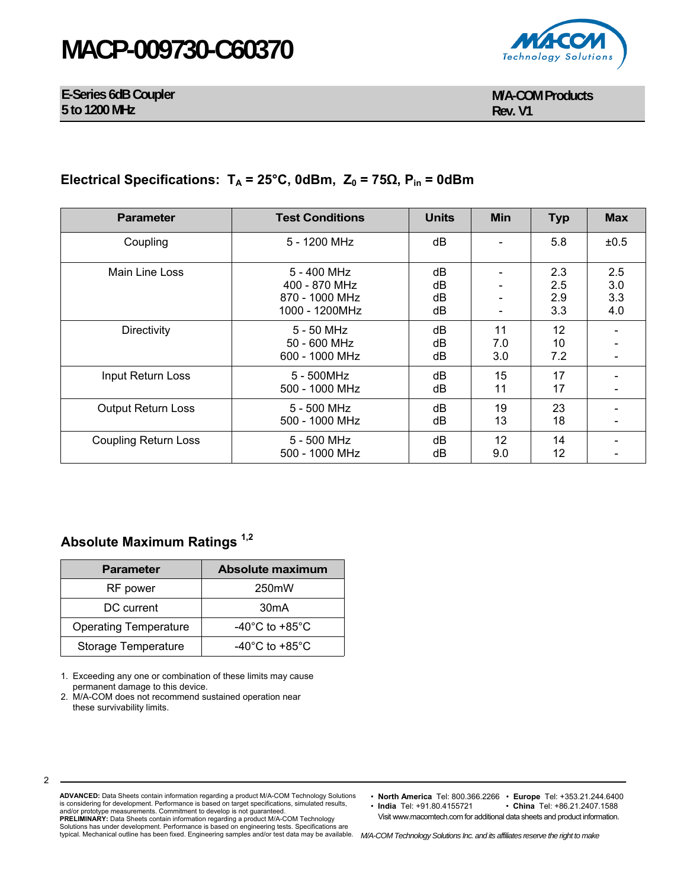## **MACP-009730-C60370**



**E-Series 6dB Coupler 5 to 1200 MHz** 

**M/A-COM Products Rev. V1**

### **Electrical Specifications:**  $T_A = 25^\circ$ C, 0dBm,  $Z_0 = 75Ω$ ,  $P_{in} = 0d$ Bm

| <b>Parameter</b>            | <b>Test Conditions</b>                                           | <b>Units</b>         | <b>Min</b>       | <b>Typ</b>               | <b>Max</b>               |
|-----------------------------|------------------------------------------------------------------|----------------------|------------------|--------------------------|--------------------------|
| Coupling                    | 5 - 1200 MHz                                                     | dB                   |                  | 5.8                      | ±0.5                     |
| Main Line Loss              | 5 - 400 MHz<br>400 - 870 MHz<br>870 - 1000 MHz<br>1000 - 1200MHz | dB<br>dB<br>dB<br>dB |                  | 2.3<br>2.5<br>2.9<br>3.3 | 2.5<br>3.0<br>3.3<br>4.0 |
| Directivity                 | $5 - 50$ MHz<br>50 - 600 MHz<br>600 - 1000 MHz                   | dB<br>dB<br>dB       | 11<br>7.0<br>3.0 | 12<br>10<br>7.2          |                          |
| Input Return Loss           | 5 - 500MHz<br>500 - 1000 MHz                                     | dB<br>dB             | 15<br>11         | 17<br>17                 |                          |
| <b>Output Return Loss</b>   | 5 - 500 MHz<br>500 - 1000 MHz                                    | dB<br>dB             | 19<br>13         | 23<br>18                 |                          |
| <b>Coupling Return Loss</b> | 5 - 500 MHz<br>500 - 1000 MHz                                    | dB<br>dB             | 12<br>9.0        | 14<br>12                 |                          |

### **Absolute Maximum Ratings 1,2**

| <b>Parameter</b>             | <b>Absolute maximum</b>              |  |  |
|------------------------------|--------------------------------------|--|--|
| RF power                     | 250mW                                |  |  |
| DC current                   | 30 <sub>m</sub> A                    |  |  |
| <b>Operating Temperature</b> | -40 $^{\circ}$ C to +85 $^{\circ}$ C |  |  |
| <b>Storage Temperature</b>   | -40 $^{\circ}$ C to +85 $^{\circ}$ C |  |  |

1. Exceeding any one or combination of these limits may cause permanent damage to this device.

2. M/A-COM does not recommend sustained operation near these survivability limits.

2

**ADVANCED:** Data Sheets contain information regarding a product M/A-COM Technology Solutions is considering for development. Performance is based on target specifications, simulated results, and/or prototype measurements. Commitment to develop is not guaranteed. **PRELIMINARY:** Data Sheets contain information regarding a product M/A-COM Technology<br>Solutions has under development. Performance is based on engineering tests. Specifications are<br>typical. Mechanical outline has been fixe

• **North America** Tel: 800.366.2266 • **Europe** Tel: +353.21.244.6400

 $\cdot$  **China** Tel: +86.21.2407.1588 Visit www.macomtech.com for additional data sheets and product information.

*M/A-COM Technology Solutions Inc. and its affiliates reserve the right to make*